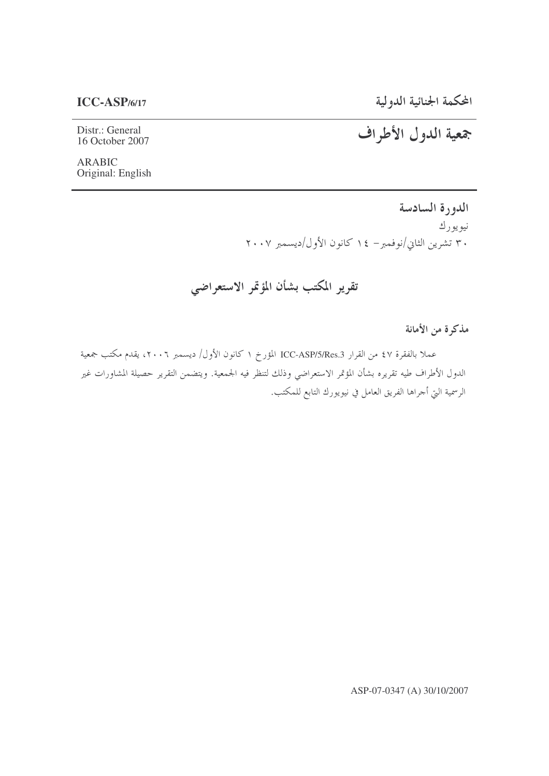المحكمة الجنائية الدولية

جمعية الدول الأطراف

### $ICC-ASP/6/17$

Distr.: General 16 October 2007

**ARABIC** Original: English

> الدورة السادسة نيويورك ۳۰ تشرین الثاني/نوفمبر– ۱٤ کانون الأول/دیسمبر ۲۰۰۷

تقرير المكتب بشأن المؤتمر الاستعراضي

مذكرة من الأمانة

عملا بالفقرة ٤٧ من القرار ICC-ASP/5/Res.3 المؤرخ ١ كانون الأول/ ديسمبر ٢٠٠٦، يقدم مكتب جمعية الدول الأطراف طيه تقريره بشأن المؤتمر الاستعراضي وذلك لتنظر فيه الجمعية. ويتضمن التقرير حصيلة المشاورات غير الرسمية التي أحراها الفريق العامل في نيويورك التابع للمكتب.

ASP-07-0347 (A) 30/10/2007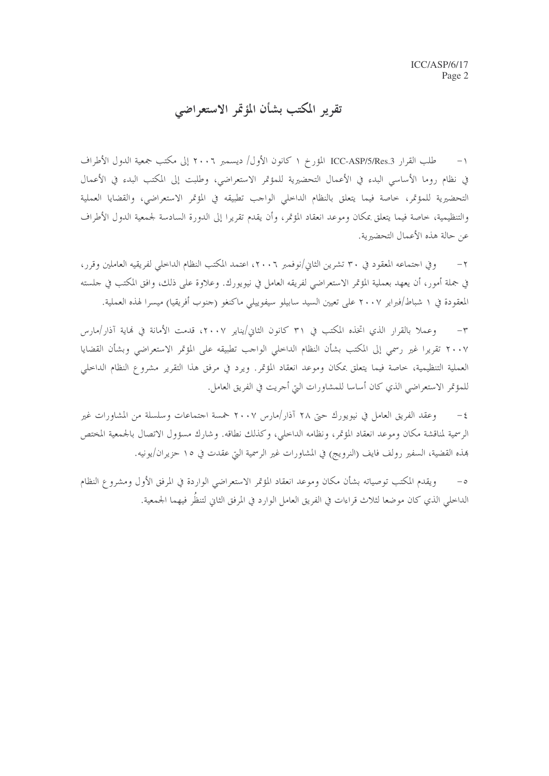تقرير المكتب بشأن المؤتمر الاستعراضبي

١– طلب القرار ICC-ASP/5/Res.3 المؤرخ ١ كانون الأول/ ديسمبر ٢٠٠٦ إلى مكتب جمعية الدول الأطراف في نظام روما الأساسي البدء في الأعمال التحضيرية للمؤتمر الاستعراضي، وطلبت إلى المكتب البدء في الأعمال التحضيرية للمؤتمر، حاصة فيما يتعلق بالنظام الداحلي الواحب تطبيقه في المؤتمر الاستعراضي، والقضايا العملية والتنظيمية، خاصة فيما يتعلق بمكان وموعد انعقاد المؤتمر، وأن يقدم تقريرا إلى الدورة السادسة لجمعية الدول الأطراف عن حالة هذه الأعمال التحضيرية.

وفي احتماعه المعقود في ٣٠ تشرين الثاني/نوفمبر ٢٠٠٦، اعتمد المكتب النظام الداخلي لفريقيه العاملين وقرر،  $-\tau$ في جملة أمور، أن يعهد بعملية المؤتمر الاستعراضي لفريقه العامل في نيويورك. وعلاوة على ذلك، وافق المكتب في حلسته المعقودة في ١ شباط/فبراير ٢٠٠٧ على تعيين السيد سابيلو سيفوييلي ماكنغو (حنوب أفريقيا) ميسرا لهذه العملية.

وعملا بالقرار الذي اتخذه المكتب في ٣١ كانون الثاني/يناير ٢٠٠٧، قدمت الأمانة في نهاية آذار/مارس  $-1$ ٢٠٠٧ تقريرا غير رسمي إلى المكتب بشأن النظام الداخلي الواحب تطبيقه على المؤتمر الاستعراضي وبشأن القضايا العملية التنظيمية، خاصة فيما يتعلق بمكان وموعد انعقاد المؤتمر. ويرد في مرفق هذا التقرير مشروع النظام الداخلي للمؤتمر الاستعراضي الذي كان أساسا للمشاورات التي أحريت في الفريق العامل.

وعقد الفريق العامل في نيويورك حتى ٢٨ آذار/مارس ٢٠٠٧ حمسة احتماعات وسلسلة من المشاورات غير  $-\xi$ الرسمية لمناقشة مكان وموعد انعقاد المؤتمر، ونظامه الداخلي، وكذلك نطاقه. وشارك مسؤول الاتصال بالجمعية المختص هذه القضية، السفير رولف فايف (النرويج) في المشاورات غير الرسمية التي عقدت في ١٥ حزيران/يونيه.

ويقدم المكتب توصياته بشأن مكان وموعد انعقاد المؤتمر الاستعراضي الواردة في المرفق الأول ومشروع النظام  $-\circ$ الداخلي الذي كان موضعًا لثلاث قراءات في الفريق العامل الوارد في المرفق الثاني لتنظَّر فيهما الجمعية.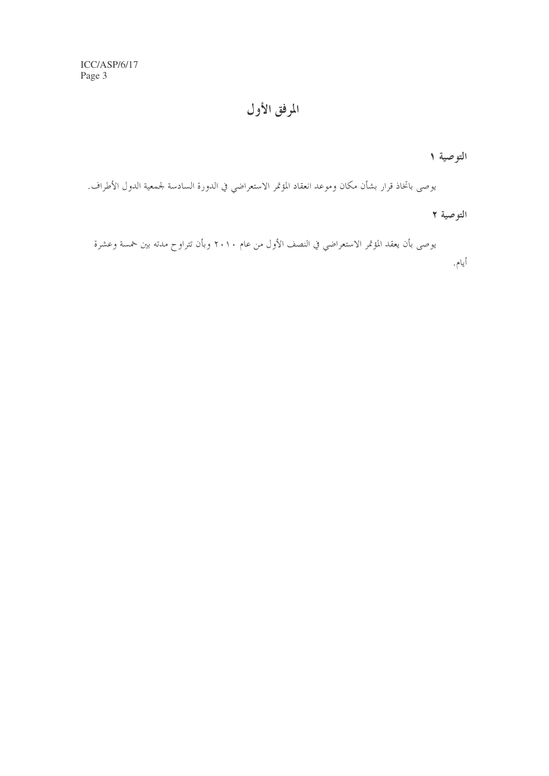المرفق الأول

التوصية ١

يوصى باتخاذ قرار بشأن مكان وموعد انعقاد المؤتمر الاستعراضي في الدورة السادسة لجمعية الدول الأطراف.

التوصية ٢

يوصى بأن يعقد المؤتمر الاستعراضي في النصف الأول من عام ٢٠١٠ وبأن تتراوح مدته بين خمسة وعشرة أيام.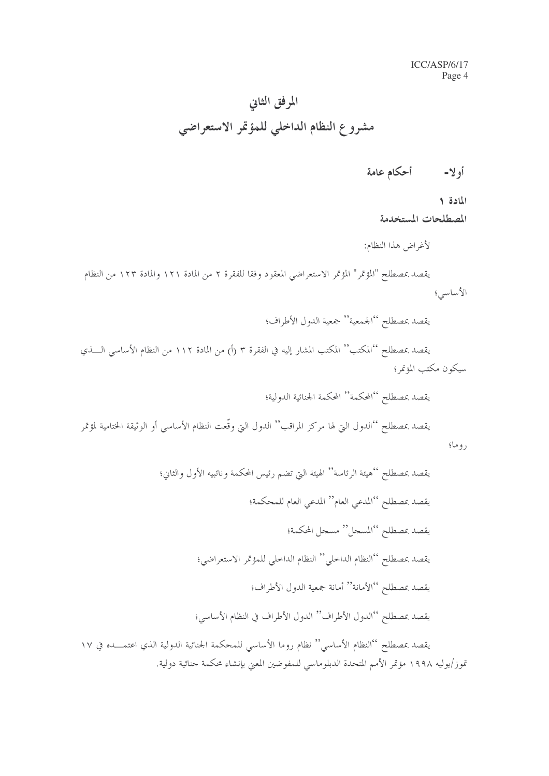# المرفق الثاني مشروع النظام الداخلي للمؤتمر الاستعراضي

المادة ١

المصطلحات المستخدمة

لأغراض هذا النظام:

يقصد بمصطلح "المؤتمر" المؤتمر الاستعراضي المعقود وفقا للفقرة ٢ من المادة ١٢١ والمادة ١٢٣ من النظام الأساسي؛

يقصد بمصطلح ''الجمعية'' جمعية الدول الأطراف؛

يقصد بمصطلح ''المكتب'' المكتب المشار إليه في الفقرة ٣ (أ) من المادة ١١٢ من النظام الأساسي الــــذي سيكون مكتب المؤتمر؛

يقصد بمصطلح ''المحكمة'' المحكمة الجنائية الدولية؛ يقصد بمصطلح ''الدول التي لها مركز المراقب'' الدول التي وقّعت النظام الأساسي أو الوثيقة الحتامية لمؤتمر روما؛

تموز/يوليه ١٩٩٨ مؤتمر الأمم المتحدة الدبلوماسي للمفوضين المعنى بإنشاء محكمة حنائية دولية.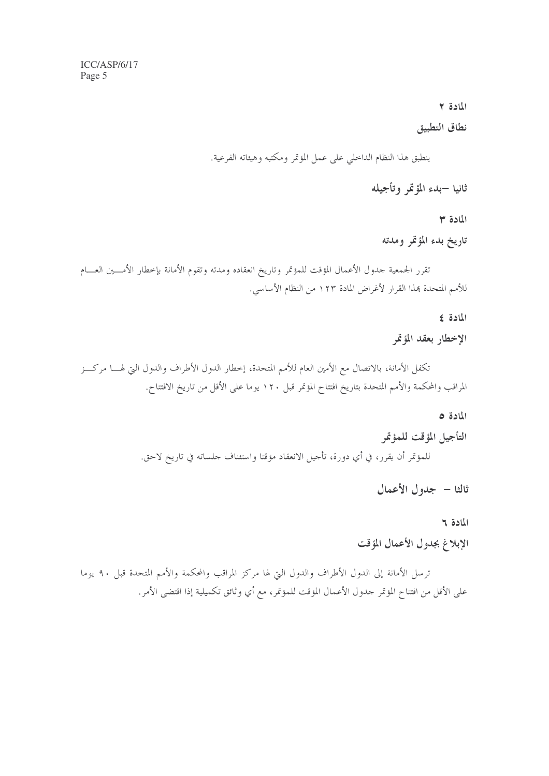### المادة ٢

### نطاق التطبيق

ينطبق هذا النظام الداحلي على عمل المؤتمر ومكتبه وهيئاته الفرعية.

ثانيا –بدء المؤتمر وتأجيله

المادة ٣

تاريخ بدء المؤتمر ومدته

تقرر الجمعية حدول الأعمال المؤقت للمؤتمر وتاريخ انعقاده ومدته وتقوم الأمانة بإخطار الأمسين العسام للأمم المتحدة بهذا القرار لأغراض المادة ١٢٣ من النظام الأساسي.

المادة ٤

### الإخطار بعقد المؤتمر

تكفل الأمانة، بالاتصال مع الأمين العام للأمم المتحدة، إخطار الدول الأطراف والدول التي لهـــا مركـــز المراقب والمحكمة والأمم المتحدة بتاريخ افتتاح المؤتمر قبل ١٢٠ يوما على الأقل من تاريخ الافتتاح.

### المادة ٥

التأجيل المؤقت للمؤتمر للمؤتمر أن يقرر، في أي دورة، تأجيل الانعقاد مؤقتا واستئناف جلساته في تاريخ لاحق.

ثالثا – جدول الأعمال

### المادة ٢

### الإبلاغ بجدول الأعمال المؤقت

ترسل الأمانة إلى الدول الأطراف والدول التي لها مركز المراقب والمحكمة والأمم المتحدة قبل ٩٠ يوما على الأقل من افتتاح المؤتمر حدول الأعمال المؤقت للمؤتمر، مع أي وثائق تكميلية إذا اقتضى الأمر.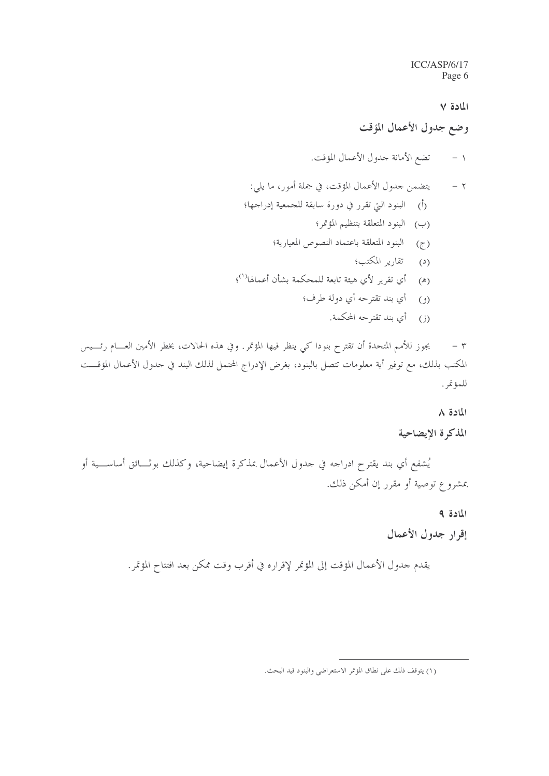المادة ٧

وضع جدول الأعمال المؤقت

تضع الأمانة جدول الأعمال المؤقت.  $-1$ 

- يتضمن جدول الأعمال المؤقت، في جملة أمور، ما يلي:  $-7$ (أ) البنود التي تقرر في دورة سابقة للجمعية إدراجها؛ (ب) البنود المتعلقة بتنظيم المؤتمر؛
	-
	- (ج) البنود المتعلقة باعتماد النصوص المعيارية؛
		- (د) تقارير المكتب؛
- (هـ) أي تقرير لأي هيئة تابعة للمحكمة بشأن أعمالها<sup>(١)</sup>؛
	- (و ) أي بند تقترحه أي دولة طرف؛
		- (ز) أي بند تقترحه المحكمة.

يجوز للأمم المتحدة أن تقترح بنودا كي ينظر فيها المؤتمر. وفي هذه الحالات، يخطر الأمين العــــام رئــــيس  $\tau$ المكتب بذلك، مع توفير أية معلومات تتصل بالبنود، بغرض الإدراج المحتمل لذلك البند في حدول الأعمال المؤقـــت للمؤتمر.

### المادة ٨

### المذكرة الإيضاحية

يُشفع أي بند يقترح ادراجه في جدول الأعمال بمذكرة إيضاحية، وكذلك بوثـــائق أساســـية أو بمشروع توصية أو مقرر إن أمكن ذلك.

المادة ٩

إقرار جدول الأعمال

يقدم جدول الأعمال المؤقت إلى المؤتمر لإقراره في أقرب وقت ممكن بعد افتتاح المؤتمر.

<sup>(</sup>١) يتوقف ذلك على نطاق المؤتمر الاستعراضي والبنود قيد البحث.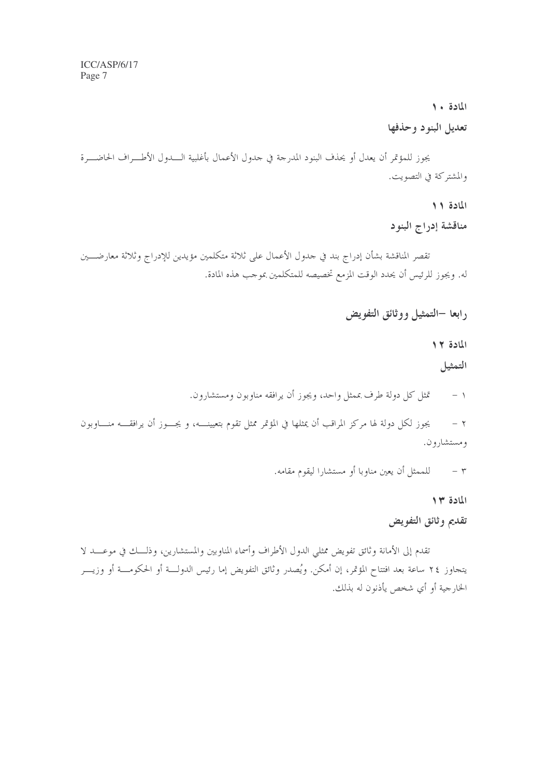### المادة ١٠

### تعديل البنود وحذفها

يجوز للمؤتمر أن يعدل أو يحذف البنود المدرجة في حدول الأعمال بأغلبية الــــدول الأطـــراف الحاضـــرة والمشتركة في التصويت.

المادة ١١

مناقشة إدراج البنود

تقصر المناقشة بشأن إدراج بند في حدول الأعمال على ثلاثة متكلمين مؤيدين للإدراج وثلاثة معارضـــين له. ويجوز للرئيس أن يحدد الوقت المزمع تخصيصه للمتكلمين بموجب هذه المادة.

رابعا –التمثيل ووثائق التفويض

المادة ١٢

التمثيل

تمثل كل دولة طرف بممثل واحد، ويجوز أن يرافقه مناوبون ومستشارون.  $-1$ 

يجوز لكل دولة لها مركز المراقب أن يمثلها في المؤتمر ممثل تقوم بتعيينــــه، و يجــــوز أن يرافقـــــه منـــــاوبون  $-7$ ومستشارون.

٣ – للممثل أن يعين مناوبا أو مستشارا ليقوم مقامه.

المادة ٢٣

### تقديم وثائق التفويض

تقدم إلى الأمانة وثائق تفويض ممثلي الدول الأطراف وأسماء المناوبين والمستشارين، وذلـــك في موعــــد لا يتجاوز ٢٤ ساعة بعد افتتاح المؤتمر، إن أمكن. ويُصدر وثائق التفويض إما رئيس الدولـــة أو الحكومـــة أو وزيــــر الخارجية أو أي شخص يأذنون له بذلك.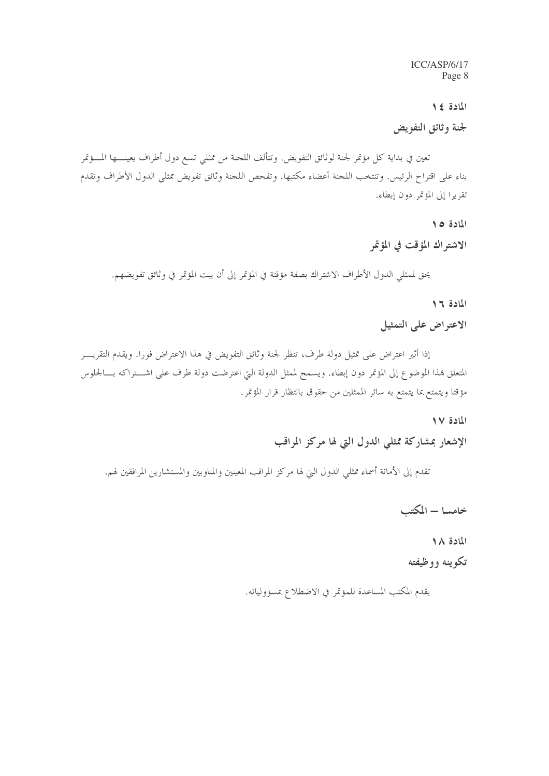المادة ٤١

لجنة وثائق التفويض

تعين في بداية كل مؤتمر لجنة لوثائق التفويض. وتتألف اللجنة من ممثلي تسع دول أطراف يعينــــها المـــؤتمر بناء على اقتراح الرئيس. وتنتخب اللجنة أعضاء مكتبها. وتفحص اللجنة وثائق تفويض ممثلي الدول الأطراف وتقدم تقريرا إلى المؤتمر دون إبطاء.

المادة ١٥

الاشتراك المؤقت في المؤتمر

يحق لممثلي الدول الأطراف الاشتراك بصفة مؤقتة في المؤتمر إلى أن يبت المؤتمر في وثائق تفويضهم.

### المادة ١٦

الاعتراض على التمثيل

إذا أثير اعتراض على تمثيل دولة طرف، تنظر لجنة وثائق التفويض في هذا الاعتراض فورا. ويقدم التقريــــر المتعلق هذا الموضوع إلى المؤتمر دون إبطاء. ويسمح لممثل الدولة التي اعترضت دولة طرف على اشـــتراكه بــــالجلوس مؤقتا ويتمتع بما يتمتع به سائر الممثلين من حقوق بانتظار قرار المؤتمر.

المادة ١٧

الإشعار بمشاركة ممثلي الدول التي لها مركز المراقب

تقدم إلى الأمانة أسماء ممثلي الدول التي لها مركز المراقب المعينين والمناوبين والمستشارين المرافقين لهم.

خامسا – المكتب

المادة ١٨ تکوینه ووظیفته

يقدم المكتب المساعدة للمؤتمر في الاضطلاع بمسؤولياته.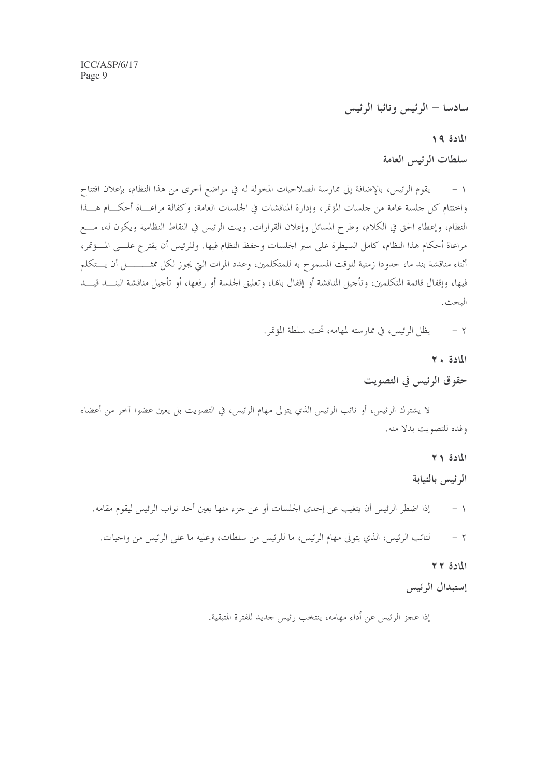سادسا – الرئيس ونائبا الرئيس

المادة ١٩

سلطات الرئيس العامة

يقوم الرئيس، بالإضافة إلى ممارسة الصلاحيات المخولة له في مواضع أخرى من هذا النظام، بإعلان افتتاح  $-1$ واختتام كل جلسة عامة من جلسات المؤتمر، وإدارة المناقشات في الجلسات العامة، وكفالة مراعــاة أحكـــام هـــذا النظام، وإعطاء الحق في الكلام، وطرح المسائل وإعلان القرارات. ويبت الرئيس في النقاط النظامية ويكون له، مسع مراعاة أحكام هذا النظام، كامل السيطرة على سير الجلسات وحفظ النظام فيها. وللرئيس أن يقترح علـــي المـــؤتمر، أثناء مناقشة بند ما، حدودا زمنية للوقت المسموح به للمتكلمين، وعدد المرات التي يجوز لكل ممثــــــــــل أن يـــتكلم فيها، وإقفال قائمة المتكلمين، وتأجيل المناقشة أو إقفال باهما، وتعليق الجلسة أو رفعها، أو تأجيل مناقشة البنـــد قيـــد البحث.

> يظل الرئيس، في ممارسته لمهامه، تحت سلطة المؤتمر.  $-7$

> > $Y \cdot 511$

حقوق الرئيس في التصويت

لا يشترك الرئيس، أو نائب الرئيس الذي يتولى مهام الرئيس، في التصويت بل يعين عضوا آخر من أعضاء وفده للتصويت بدلا منه.

> المادة ٢١ الرئيس بالنيابة

إذا اضطر الرئيس أن يتغيب عن إحدى الجلسات أو عن جزء منها يعين أحد نواب الرئيس ليقوم مقامه.  $-1$ لنائب الرئيس، الذي يتولى مهام الرئيس، ما للرئيس من سلطات، وعليه ما على الرئيس من واجبات.  $-7$ 

المادة ٢٢

إستبدال الرئيس

إذا عجز الرئيس عن أداء مهامه، ينتخب رئيس جديد للفترة المتبقية.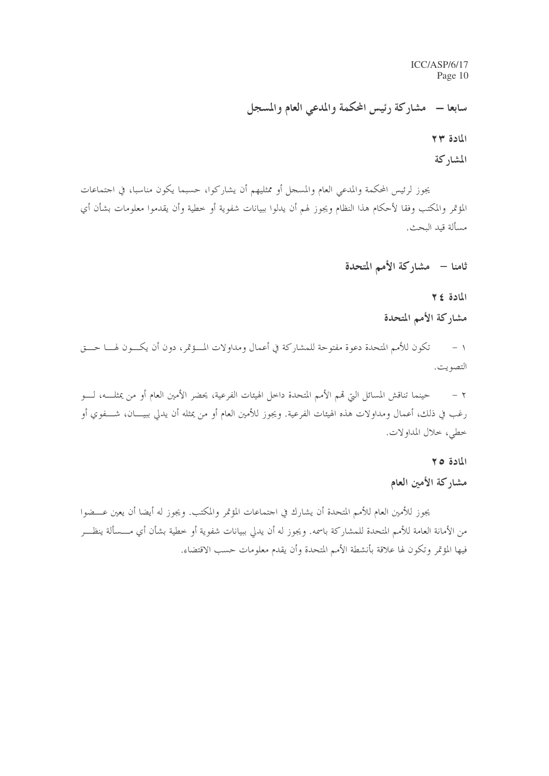سابعا – مشاركة رئيس المحكمة والمدعى العام والمسجل

المادة ٢٣

المشاركة

يجوز لرئيس المحكمة والمدعى العام والمسحل أو ممثليهم أن يشاركوا، حسبما يكون مناسبا، في احتماعات المؤتمر والمكتب وفقا لأحكام هذا النظام ويجوز لهم أن يدلوا ببيانات شفوية أو خطية وأن يقدموا معلومات بشأن أي مسألة قيد البحث.

### ثامنا – مشاركة الأمم المتحدة

المادة ٢٤

مشاركة الأمم المتحدة

تكون للأمم المتحدة دعوة مفتوحة للمشاركة في أعمال ومداولات المـــؤتمر، دون أن يكـــون لهـــا حـــق  $-1$ التصويت.

حينما تناقش المسائل التي قمم الأمم المتحدة داخل الهيئات الفرعية، يحضر الأمين العام أو من يمثلــــه، لــــو  $-7$ رغب في ذلك، أعمال ومداولات هذه الهيئات الفرعية. ويجوز للأمين العام أو من يمثله أن يدلي ببيــــان، شــــفوي أو خطى، خلال المداولات.

### المادة ٢٥

### مشاركة الأمين العام

يجوز للأمين العام للأمم المتحدة أن يشارك في احتماعات المؤتمر والمكتب. ويجوز له أيضا أن يعين عـــضوا من الأمانة العامة للأمم المتحدة للمشاركة باسمه. ويجوز له أن يدلى ببيانات شفوية أو خطية بشأن أي مــــسألة ينظـــر فيها المؤتمر وتكون لها علاقة بأنشطة الأمم المتحدة وأن يقدم معلومات حسب الاقتضاء.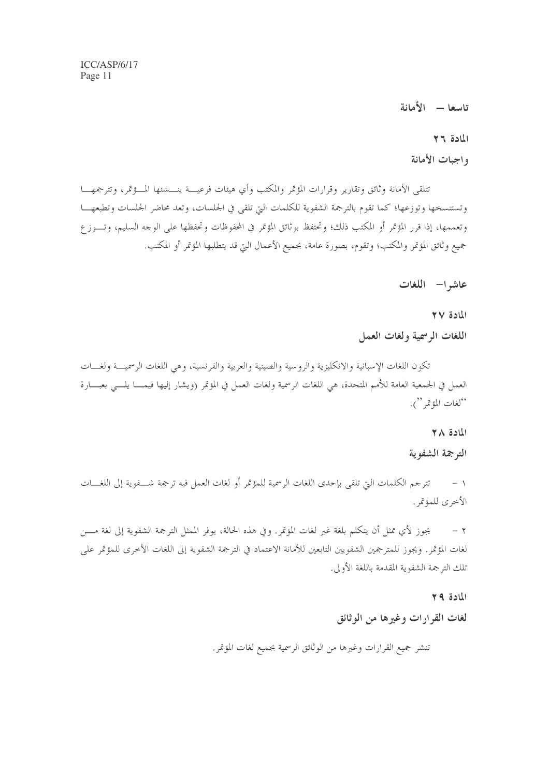تاسعا - الأمانة

### المادة ٢٦

### واجبات الأمانة

تتلقى الأمانة وثائق وتقارير وقرارات المؤتمر والمكتب وأي هيئات فرعيسة ينسشئها المسؤتمر، وتترجمهـــا وتستنسخها وتوزعها؛ كما تقوم بالترجمة الشفوية للكلمات التي تلقى في الجلسات، وتعد محاضر الجلسات وتطبعهـــا وتعممها، إذا قرر المؤتمر أو المكتب ذلك؛ وتحتفظ بوثائق المؤتمر في المحفوظات وتحفظها على الوجه السليم، وتـــوز ع جميع وثائق المؤتمر والمكتب؛ وتقوم، بصورة عامة، بجميع الأعمال التي قد يتطلبها المؤتمر أو المكتب.

عاشه ا- اللغات

المادة ٢٧ اللغات الرسمية ولغات العمل

تكون اللغات الإسبانية والانكليزية والروسية والصينية والعربية والفرنسية، وهي اللغات الرسميــــة ولغــــات العمل في الجمعية العامة للأمم المتحدة، هي اللغات الرسمية ولغات العمل في المؤتمر (ويشار إليها فيمـــا يلـــي بعبـــارة "لغات المؤتمر").

### المادة ٢٨

الترجمة الشفوية

١ – تترجم الكلمات التي تلقى بإحدى اللغات الرسمية للمؤتمر أو لغات العمل فيه ترجمة شـــفوية إلى اللغـــات الأخرى للمؤتمر .

يجوز لأي ممثل أن يتكلم بلغة غير لغات المؤتمر. وفي هذه الحالة، يوفر الممثل الترجمة الشفوية إلى لغة مــــن  $-7$ لغات المؤتمر . ويجوز للمترجمين الشفويين التابعين للأمانة الاعتماد في الترجمة الشفوية إلى اللغات الأخرى للمؤتمر على تلك الترجمة الشفوية المقدمة باللغة الأولى.

### $Y = 311$

### لغات القرارات وغيرها من الوثائق

تنشر جميع القرارات وغيرها من الوثائق الرسمية بجميع لغات المؤتمر.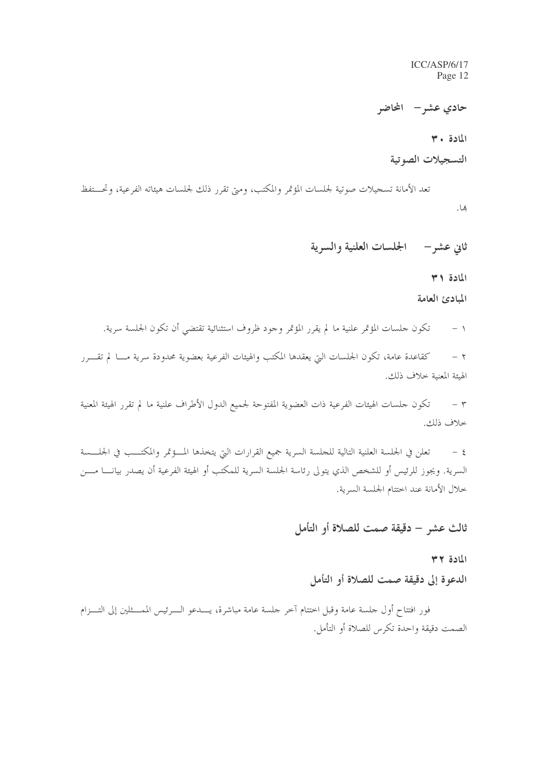حادي عشر – المحاضر

المادة ٣٠

التسجيلات الصوتية

تعد الأمانة تسجيلات صوتية لجلسات المؤتمر والمكتب، ومتى تقرر ذلك لجلسات هيئاته الفرعية، وتحـــتفظ بها.

ثاني عشر— الجلسات العلنية والسرية

المادة ٣١

المبادئ العامة

١ – تكون جلسات المؤتمر علنية ما لم يقرر المؤتمر وجود ظروف استثنائية تقتضي أن تكون الجلسة سرية.

كقاعدة عامة، تكون الجلسات التي يعقدها المكتب والهيئات الفرعية بعضوية محدودة سرية مـــا لم تقــــرر  $-7$ الهيئة المعنية خلاف ذلك.

٣ – تكون حلسات الهيئات الفرعية ذات العضوية المفتوحة لجميع الدول الأطراف علنية ما لم تقرر الهيئة المعنية خلاف ذلك.

٤ – تعلن في الجلسة العلنية التالية للجلسة السرية جميع القرارات التي يتخذها المــــؤتمر والمكتـــب في الجلــــسة السرية. ويجوز للرئيس أو للشخص الذي يتولى رئاسة الجلسة السرية للمكتب أو الهيئة الفرعية أن يصدر بيانــــا مــــن خلال الأمانة عند اختتام الجلسة السرية.

### ثالث عشر – دقيقة صمت للصلاة أو التأمل

 $HY = I$ 

الدعوة إلى دقيقة صمت للصلاة أو التأمل

فور افتتاح أول جلسة عامة وقبل اختتام آخر جلسة عامة مباشرة، يــــدعو الــــرئيس الممـــثلين إلى التــــزام الصمت دقيقة واحدة تكرس للصلاة أو التأمل.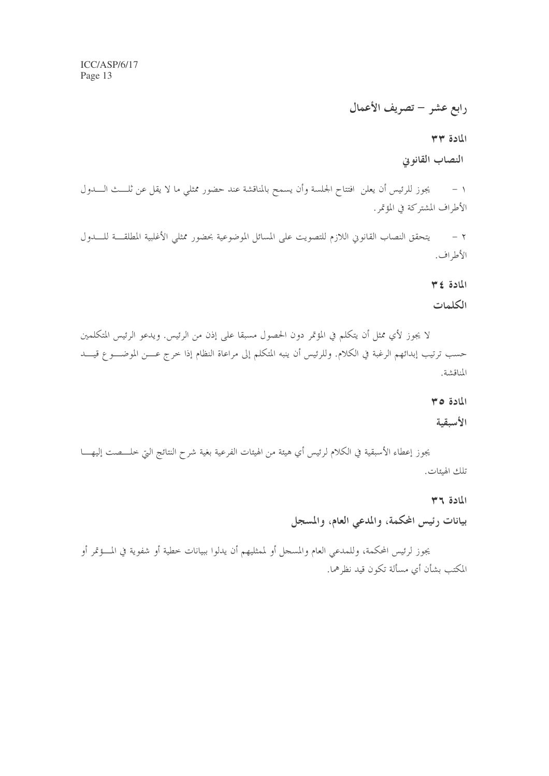رابع عشر – تصريف الأعمال

المادة ٣٣

النصاب القانوني

يجوز للرئيس أن يعلن افتتاح الجلسة وأن يسمح بالمناقشة عند حضور ممثلي ما لا يقل عن ثلـــث الــــدول  $-1$ الأطراف المشتركة في المؤتمر .

٢ – يتحقق النصاب القانوين اللازم للتصويت على المسائل الموضوعية بحضور ممثلي الأغلبية المطلقـــة للــــدول الأطراف.

المادة ٣٤

#### الكلمات

لا يجوز لأي ممثل أن يتكلم في المؤتمر دون الحصول مسبقا على إذن من الرئيس. ويدعو الرئيس المتكلمين حسب ترتيب إبدائهم الرغبة في الكلام. وللرئيس أن ينبه المتكلم إلى مراعاة النظام إذا خرج عـــن الموضــــو ع قيــــد المناقشة.

المادة ٣٥

#### الأسبقية

يجوز إعطاء الأسبقية في الكلام لرئيس أي هيئة من الهيئات الفرعية بغية شرح النتائج التي خلــــصت إليهــــا تلك الهيئات.

المادة ٣٦

بيانات رئيس المحكمة، والمدعى العام، والمسجل

يجوز لرئيس المحكمة، وللمدعى العام والمسجل أو لممثليهم أن يدلوا ببيانات خطية أو شفوية في المـــؤتمر أو المكتب بشأن أي مسألة تكون قيد نظرهما.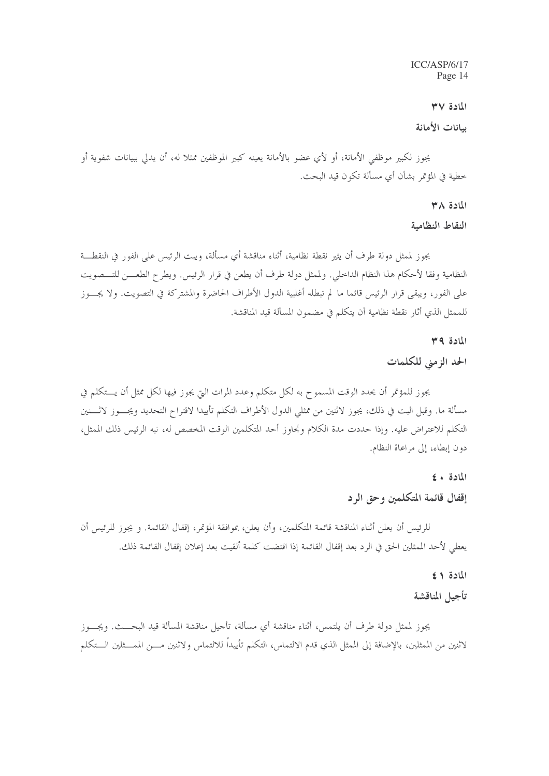### المادة ٣٧

### ببانات الأمانة

يجوز لكبير موظفي الأمانة، أو لأي عضو بالأمانة يعينه كبير الموظفين ممثلاً له، أن يدلي ببيانات شفوية أو خطية في المؤتمر بشأن أي مسألة تكون قيد البحث.

#### $M \wedge B$

النقاط النظامية

يجوز لممثل دولة طرف أن يثير نقطة نظامية، أثناء مناقشة أي مسألة، ويبت الرئيس على الفور في النقطـــة النظامية وفقا لأحكام هذا النظام الداخلي. ولممثل دولة طرف أن يطعن في قرار الرئيس. ويطرح الطعـــن للتـــصويت على الفور، ويبقى قرار الرئيس قائما ما لم تبطله أغلبية الدول الأطراف الحاضرة والمشتركة في التصويت. ولا يجـــوز للممثل الذي أثار نقطة نظامية أن يتكلم في مضمون المسألة قيد المناقشة.

#### المادة ٣٩

### الحد الزمني للكلمات

يجوز للمؤتمر أن يحدد الوقت المسموح به لكل متكلم وعدد المرات التي يجوز فيها لكل ممثل أن يستكلم في مسألة ما. وقبل البت في ذلك، يجوز لاثنين من ممثلي الدول الأطراف التكلم تأييدا لاقتراح التحديد ويجـــوز لاثــــنين التكلم للاعتراض عليه. وإذا حددت مدة الكلام وتجاوز أحد المتكلمين الوقت المخصص له، نبه الرئيس ذلك الممثل، دون إبطاء، إلى مراعاة النظام.

#### المادة + ٤

## إقفال قائمة المتكلمين وحق الرد

للرئيس أن يعلن أثناء المناقشة قائمة المتكلمين، وأن يعلن، بموافقة المؤتمر، إقفال القائمة. و يجوز للرئيس أن يعطى لأحد الممثلين الحق في الرد بعد إقفال القائمة إذا اقتضت كلمة ألقيت بعد إعلان إقفال القائمة ذلك.

#### المادة ١ ٤

### تأجيل المناقشة

يجوز لممثل دولة طرف أن يلتمس، أثناء مناقشة أي مسألة، تأحيل مناقشة المسألة قيد البحـــث. ويجـــوز لاثنين من الممثلين، بالإضافة إلى الممثل الذي قدم الالتماس، التكلم تأييداً للالتماس ولاثنين مـــن الممـــثلين الـــتكلم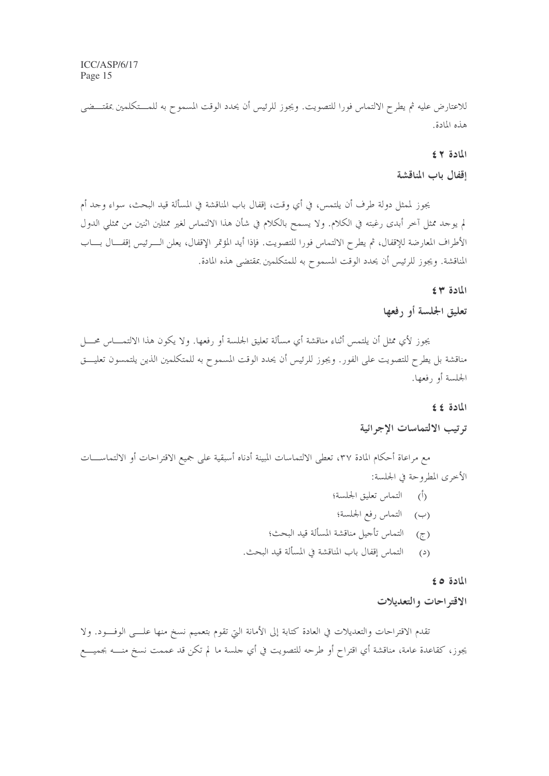للاعتارض عليه ثم يطرح الالتماس فورا للتصويت. ويجوز للرئيس أن يحدد الوقت المسموح به للمـــتكلمين بمقتـــضي هذه المادة.

### المادة ٢٤

### إقفال باب المناقشة

يجوز لممثل دولة طرف أن يلتمس، في أي وقت، إقفال باب المناقشة في المسألة قيد البحث، سواء وحد أم لم يوحد ممثل آخر أبدى رغبته في الكلام. ولا يسمح بالكلام في شأن هذا الالتماس لغير ممثلين اثنين من ممثلي الدول الأطراف المعارضة للإقفال، ثم يطرح الالتماس فورا للتصويت. فإذا أيد المؤتمر الإقفال، يعلن الــــرئيس إقفــــال بــــاب المناقشة. ويجوز للرئيس أن يحدد الوقت المسموح به للمتكلمين بمقتضى هذه المادة.

### المادة ٣٤

### تعليق الجلسة أو رفعها

يجوز لأي ممثل أن يلتمس أثناء مناقشة أي مسألة تعليق الجلسة أو رفعها. ولا يكون هذا الالتمـــاس محـــل مناقشة بل يطرح للتصويت على الفور. ويجوز للرئيس أن يحدد الوقت المسموح به للمتكلمين الذين يلتمسون تعليـــق الجلسة أو رفعها.

#### المادة ٤٤

### ترتيب الالتماسات الإجرائية

مع مراعاة أحكام المادة ٣٧، تعطي الالتماسات المبينة أدناه أسبقية على جميع الاقتراحات أو الالتماســــات الأخرى المطروحة في الجلسة:

- (أ) التماس تعليق الجلسة؛ (ب) التماس رفع الجلسة؛ (ج) التماس تأجيل مناقشة المسألة قيد البحث؛
- (د) التماس إقفال باب المناقشة في المسألة قيد البحث.

### المادة ٥ ٤

### الاقتراحات والتعديلات

تقدم الاقتراحات والتعديلات في العادة كتابة إلى الأمانة التي تقوم بتعميم نسخ منها علـــي الوفـــود. ولا يجوز، كقاعدة عامة، مناقشة أي اقتراح أو طرحه للتصويت في أي جلسة ما لم تكن قد عممت نسخ منــــه بجميــــع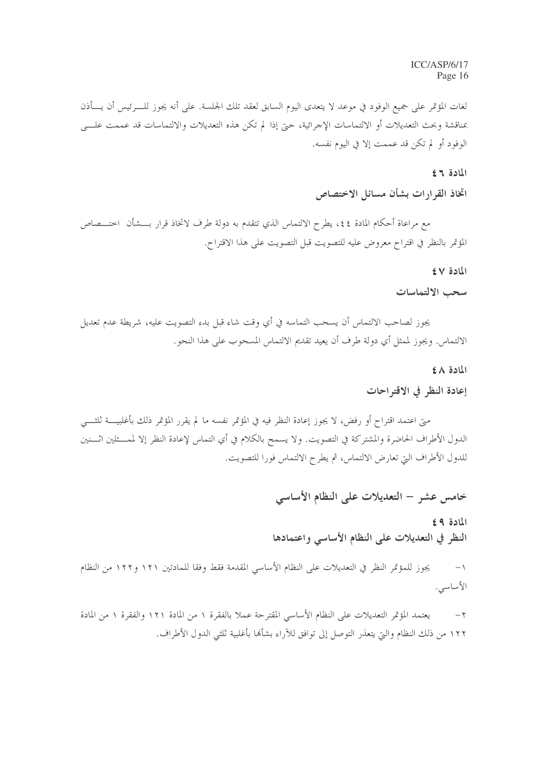لغات المؤتمر على جميع الوفود في موعد لا يتعدى اليوم السابق لعقد تلك الجلسة. على أنه يجوز للــــرئيس أن يــــأذن بمناقشة وبحث التعديلات أو الالتماسات الإحرائية، حتى إذا لم تكن هذه التعديلات والالتماسات قد عممت علــــى الوفود أو لم تكن قد عممت إلا في اليوم نفسه.

### المادة ٢٤

### اتخاذ القرارات بشأن مسائل الاختصاص

مع مراعاة أحكام المادة ٤٤، يطرح الالتماس الذي تتقدم به دولة طرف لاتخاذ قرار بــــشأن اختــــصاص المؤتمر بالنظر في اقتراح معروض عليه للتصويت قبل التصويت على هذا الاقتراح.

#### المادة ٤٧

#### سحب الالتماسات

يجوز لصاحب الالتماس أن يسحب التماسه في أي وقت شاء قبل بدء التصويت عليه، شريطة عدم تعديل الالتماس. ويجوز لممثل أي دولة طرف أن يعيد تقديم الالتماس المسحوب على هذا النحو.

المادة ٤٨

### إعادة النظر في الاقتراحات

متي اعتمد اقتراح أو رفض، لا يجوز إعادة النظر فيه في المؤتمر نفسه ما لم يقرر المؤتمر ذلك بأغلبيــــة ثلثـــــى الدول الأطراف الحاضرة والمشتركة في التصويت. ولا يسمح بالكلام في أي التماس لإعادة النظر إلا لممـــثلين اثــــنين للدول الأطراف التي تعارض الالتماس، ثم يطرح الالتماس فورا للتصويت.

### خامس عشر – التعديلات على النظام الأساسي

المادة ٩٤ النظر في التعديلات على النظام الأساسي واعتمادها

يجوز للمؤتمر النظر في التعديلات على النظام الأساسي المقدمة فقط وفقا للمادتين ١٢١ و١٢٢ من النظام  $-1$ الأساسى.

يعتمد المؤتمر التعديلات على النظام الأساسي المقترحة عملا بالفقرة ١ من المادة ١٢١ والفقرة ١ من المادة  $-\tau$ ١٢٢ من ذلك النظام والتي يتعذر التوصل إلى توافق للآراء بشألها بأغلبية ثلثي الدول الأطراف.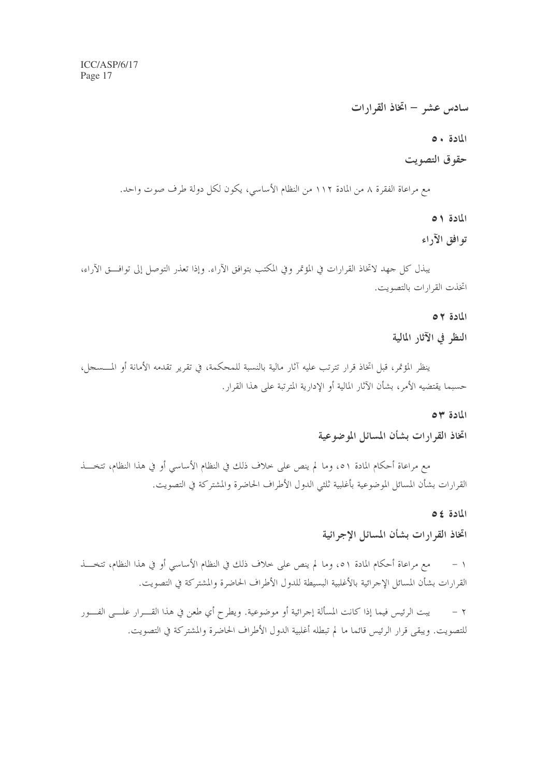سادس عشر – اتخاذ القرارات

المادة ٥٠

### حقوق التصويت

مع مراعاة الفقرة ٨ من المادة ١١٢ من النظام الأساسي، يكون لكل دولة طرف صوت واحد.

المادة ٥١

توافق الآراء

يبذل كل جهد لاتخاذ القرارات في المؤتمر وفي المكتب بتوافق الآراء. وإذا تعذر التوصل إلى توافـــق الآراء، اتخذت القرارات بالتصويت.

المادة ٥٢

النظر في الآثار المالية

ينظر المؤتمر، قبل اتخاذ قرار تترتب عليه آثار مالية بالنسبة للمحكمة، في تقرير تقدمه الأمانة أو المــــسجل، حسبما يقتضيه الأمر، بشأن الآثار المالية أو الإدارية المترتبة على هذا القرار .

#### المادة ٣٥

اتخاذ القرارات بشأن المسائل الموضوعية

مع مراعاة أحكام المادة ٥١، وما لم ينص على خلاف ذلك في النظام الأساسي أو في هذا النظام، تتخـــذ القرارات بشأن المسائل الموضوعية بأغلبية ثلثي الدول الأطراف الحاضرة والمشتركة في التصويت.

المادة ٤٥

اتخاذ القرارات بشأن المسائل الاجرائية

مع مراعاة أحكام المادة ٥١، وما لم ينص على خلاف ذلك في النظام الأساسي أو في هذا النظام، تتخـــذ  $-1$ القرارات بشأن المسائل الإحرائية بالأغلبية البسيطة للدول الأطراف الحاضرة والمشتركة في التصويت.

يبت الرئيس فيما إذا كانت المسألة إجرائية أو موضوعية. ويطرح أي طعن في هذا القــــرار علــــي الفــــور  $-7$ للتصويت. ويبقى قرار الرئيس قائما ما لم تبطله أغلبية الدول الأطراف الحاضرة والمشتركة في التصويت.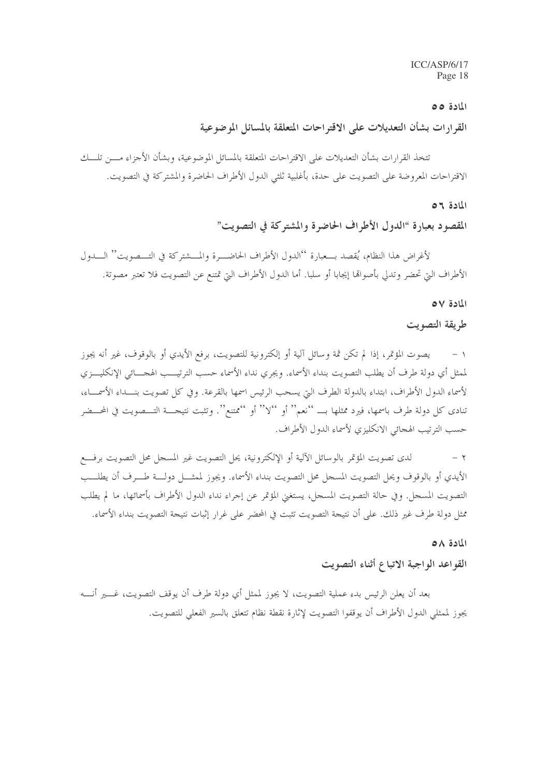### المادة ٥٥

القرارات بشأن التعديلات على الاقتراحات المتعلقة بالمسائل الموضوعية

تتخذ القرارات بشأن التعديلات على الاقتراحات المتعلقة بالمسائل الموضوعية، وبشأن الأجزاء مــــن تلــــك الاقتراحات المعروضة على التصويت على حدة، بأغلبية ثلثي الدول الأطراف الحاضرة والمشتركة في التصويت.

#### المادة ٥٦

المقصود بعبارة "الدول الأطراف الحاضرة والمشتركة في التصويت"

لأغراض هذا النظام، يُقصد بـــعبارة ''الدول الأطراف الحاضـــرة والمـــشتركة في التـــصويت'' الـــدول الأطراف التي تحضر وتدلى بأصواها إيجابا أو سلبا. أما الدول الأطراف التي تمتنع عن التصويت فلا تعتبر مصوتة.

#### المادة ٥٧

طريقة التصويت

يصوت المؤتمر، إذا لم تكن ثمة وسائل آلية أو إلكترونية للتصويت، برفع الأيدي أو بالوقوف، غير أنه يجوز  $-1$ لممثل أي دولة طرف أن يطلب التصويت بنداء الأسماء. ويجري نداء الأسماء حسب الترتيـــب الهجــــائي الإنكليــــزي لأسماء الدول الأطراف، ابتداء بالدولة الطرف التي يسحب الرئيس اسمها بالقرعة. وفي كل تصويت بنـــداء الأسمـــاء، تنادى كل دولة طرف باسمها، فيرد ممثلها بـــ ''نعم'' أو ''لا'' أو ''ممتنع''. وتثبت نتيجــــة التـــصويت في المحـــضر حسب الترتيب الهجائي الانكليزي لأسماء الدول الأطراف.

لدى تصويت المؤتمر بالوسائل الآلية أو الإلكترونية، يحل التصويت غير المسجل محل التصويت برفـــع  $-7$ الأيدي أو بالوقوف ويحل التصويت المسجل محل التصويت بنداء الأسماء. ويجوز لممثــــل دولــــة طــــرف أن يطلــــب التصويت المسجل. وفي حالة التصويت المسجل، يستغنى المؤتمر عن إجراء نداء الدول الأطراف بأسمائها، ما لم يطلب ممثل دولة طرف غير ذلك. على أن نتيجة التصويت تثبت في المحضر على غرار إثبات نتيجة التصويت بنداء الأسماء.

#### المادة ٥٨

### القواعد الواجبة الاتباع أثناء التصويت

بعد أن يعلن الرئيس بدء عملية التصويت، لا يجوز لممثل أي دولة طرف أن يوقف التصويت، غـــــير أنـــــه يجوز لممثلي الدول الأطراف أن يوقفوا التصويت لإثارة نقطة نظام تتعلق بالسير الفعلى للتصويت.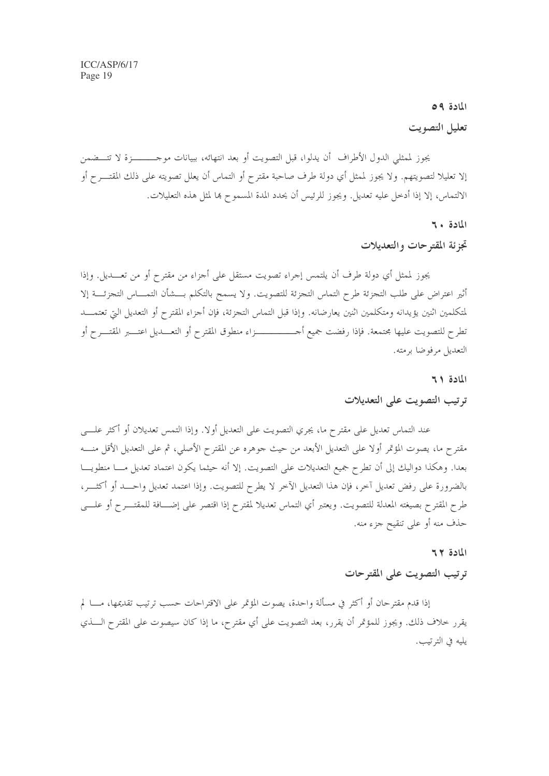### المادة ٥٩

### تعليل التصويت

يجوز لممثلي الدول الأطراف أن يدلوا، قبل التصويت أو بعد انتهائه، ببيانات موحـــــــــزة لا تتــــضمن إلا تعليلا لتصويتهم. ولا يجوز لممثل أي دولة طرف صاحبة مقترح أو التماس أن يعلل تصويته على ذلك المقتــــرح أو الالتماس، إلا إذا أدخل عليه تعديل. ويجوز للرئيس أن يحدد المدة المسموح ها لمثل هذه التعليلات.

### المادة ٢٠

### تجزئة المقترحات والتعديلات

يجوز لممثل أي دولة طرف أن يلتمس إجراء تصويت مستقل على أجزاء من مقترح أو من تعــــديل. وإذا أثير اعتراض على طلب التجزئة طرح التماس التجزئة للتصويت. ولا يسمح بالتكلم بـــشأن التمــــاس التجزئــــة إلا لمتكلمين اثنين يؤيدانه ومتكلمين اثنين يعارضانه. وإذا قبل التماس التجزئة، فإن أجزاء المقترح أو التعديل التي تعتمـــد تطرح للتصويت عليها مجتمعة. فإذا رفضت جميع أحــــــــــــــزاء منطوق المقترح أو التعــــديل اعتــــبر المقتــــرح أو التعديل مرفوضا برمته.

### المادة ٢١

### ترتيب التصويت على التعديلات

عند التماس تعديل على مقترح ما، يجري التصويت على التعديل أولا. وإذا التمس تعديلان أو أكثر علـــي مقترح ما، يصوت المؤتمر أولا على التعديل الأبعد من حيث جوهره عن المقترح الأصلي، ثم على التعديل الأقل منــــه بعدا. وهكذا دواليك إلى أن تطرح جميع التعديلات على التصويت. إلا أنه حيثما يكون اعتماد تعديل مــــا منطويــــا بالضرورة على رفض تعديل آخر، فإن هذا التعديل الآخر لا يطرح للتصويت. وإذا اعتمد تعديل واحـــد أو أكثـــر، طرح المقترح بصيغته المعدلة للتصويت. ويعتبر أي التماس تعديلا لمقترح إذا اقتصر على إضـــافة للمقتــــرح أو علــــي حذف منه أو على تنقيح جزء منه.

## المادة ٢٢ ترتيب التصويت على المقترحات

إذا قدم مقترحان أو أكثر في مسألة واحدة، يصوت المؤتمر على الاقتراحات حسب ترتيب تقديمها، مــــا لم يقرر حلاف ذلك. ويجوز للمؤتمر أن يقرر، بعد التصويت على أي مقترح، ما إذا كان سيصوت على المقترح الــــذي يليه في الترتيب.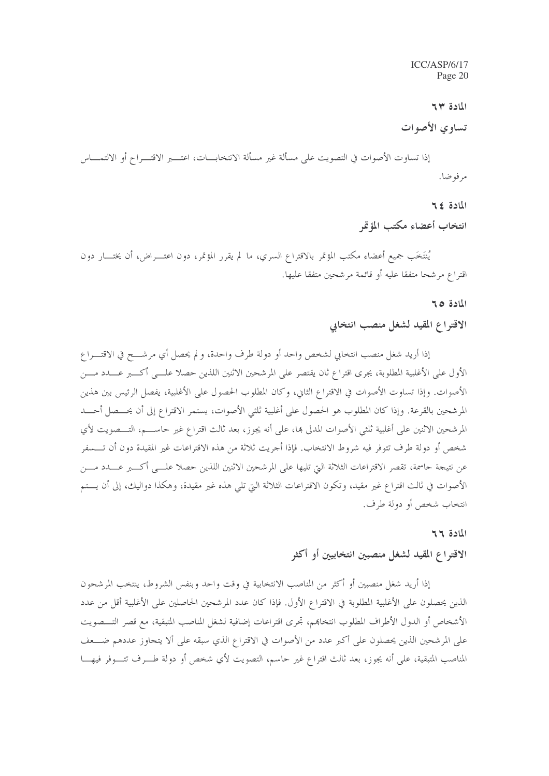المادة ٣٣

تساوى الأصوات

إذا تساوت الأصوات في التصويت على مسألة غير مسألة الانتخابـــات، اعتــــبر الاقتـــراح أو الالتمــــاس مرفوضا.

المادة ٤٢

انتخاب أعضاء مكتب المؤتمر

يُنتَخَب جميع أعضاء مكتب المؤتمر بالاقتراع السري، ما لم يقرر المؤتمر، دون اعتــــراض، أن يختــــار دون اقتراع مرشحا متفقا عليه أو قائمة مرشحين متفقا عليها.

المادة 10

### الاقتراع المقيد لشغل منصب انتخابي

إذا أريد شغل منصب انتخابي لشخص واحد أو دولة طرف واحدة، و لم يحصل أي مرشــــح في الاقتــــراع الأول على الأغلبية المطلوبة، يجري اقتراع ثان يقتصر على المرشحين الاثنين اللذين حصلا علـــي أكــــبر عــــدد مــــن الأصوات. وإذا تساوت الأصوات في الاقتراع الثاني، وكان المطلوب الحصول على الأغلبية، يفصل الرئيس بين هذين المرشحين بالقرعة. وإذا كان المطلوب هو الحصول على أغلبية ثلثي الأصوات، يستمر الاقتراع إلى أن يحـــصل أحــــد المرشحين الاثنين على أغلبية ثلثي الأصوات المدلي بما، على أنه يجوز، بعد ثالث اقتراع غير حاســـم، التـــصويت لأي شخص أو دولة طرف تتوفر فيه شروط الانتخاب. فإذا أجريت ثلاثة من هذه الاقتراعات غير المقيدة دون أن تـــسفر عن نتيجة حاسمة، تقصر الاقتراعات الثلاثة التي تليها على المرشحين الاثنين اللذين حصلا علـــي أكــــبر عــــدد مــــن الأصوات في ثالث اقتراع غير مقيد، وتكون الاقتراعات الثلاثة التي تلي هذه غير مقيدة، وهكذا دواليك، إلى أن يـــتم انتخاب شخص أو دولة طرف.

المادة ٢٦

### الاقتراع المقيد لشغل منصبين انتخابيين أو أكثر

إذا أريد شغل منصبين أو أكثر من المناصب الانتخابية في وقت واحد وبنفس الشروط، ينتخب المرشحون الذين يحصلون على الأغلبية المطلوبة في الاقتراع الأول. فإذا كان عدد المرشحين الحاصلين على الأغلبية أقل من عدد الأشخاص أو الدول الأطراف المطلوب انتخابهم، تجرى اقتراعات إضافية لشغل المناصب المتبقية، مع قصر التــــصويت على المرشحين الذين يحصلون على أكبر عدد من الأصوات في الاقتراع الذي سبقه على ألا يتجاوز عددهم ضـــعف المناصب المتبقية، على أنه يجوز، بعد ثالث اقتراع غير حاسم، التصويت لأي شخص أو دولة طـــرف تتــــوفر فيهــــا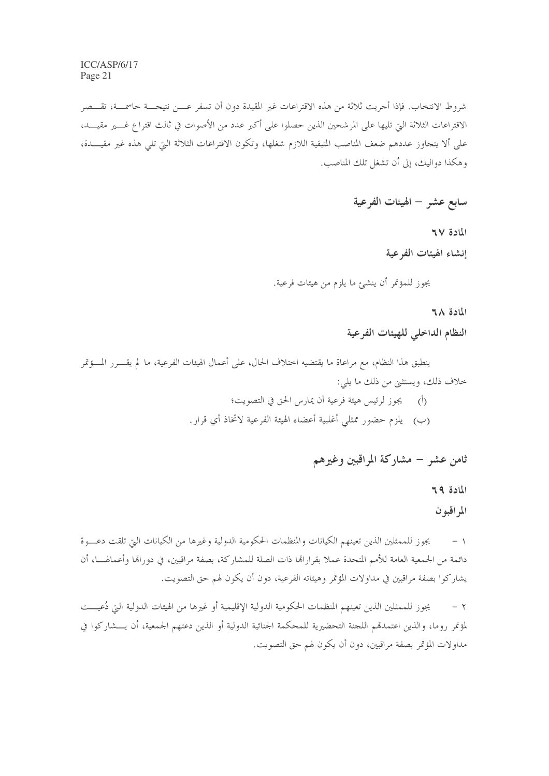شروط الانتخاب. فإذا أجريت ثلاثة من هذه الاقتراعات غير المقيدة دون أن تسفر عـــن نتيجـــة حاسمــة، تقـــصر الاقتراعات الثلاثة التي تليها على المرشحين الذين حصلوا على أكبر عدد من الأصوات في ثالث اقتراع غــــير مقيــــد، على ألا يتجاوز عددهم ضعف المناصب المتبقية اللازم شغلها، وتكون الاقتراعات الثلاثة التي تلى هذه غير مقيـــدة، وهكذا دواليك، إلى أن تشغل تلك المناصب.

سابع عشر – الهيئات الفرعية

المادة ٦٧ إنشاء الهيئات الفرعية

يجوز للمؤتمر أن ينشئ ما يلزم من هيئات فرعية.

المادة ٦٨

النظام الداخلي للهيئات الفرعية

ينطبق هذا النظام، مع مراعاة ما يقتضيه اختلاف الحال، على أعمال الهيئات الفرعية، ما لم يقــــرر المــــؤتمر خلاف ذلك، ويستثني من ذلك ما يلي:

> (أ) ليجوز لرئيس هيئة فرعية أن يمارس الحق في التصويت؛ (ب) يلزم حضور ممثلي أغلبية أعضاء الهيئة الفرعية لاتخاذ أي قرار .

> > ثامن عشر – مشاركة المراقبين وغيرهم

المادة ٢٩ المراقبون

يجوز للممثلين الذين تعينهم الكيانات والمنظمات الحكومية الدولية وغيرها من الكيانات التي تلقت دعسوة  $-1$ دائمة من الجمعية العامة للأمم المتحدة عملا بقرارالها ذات الصلة للمشاركة، بصفة مراقبين، في دورالها وأعمالهـــا، أن يشاركوا بصفة مراقبين في مداولات المؤتمر وهيئاته الفرعية، دون أن يكون لهم حق التصويت.

يجوز للممثلين الذين تعينهم المنظمات الحكومية الدولية الإقليمية أو غيرها من الهيئات الدولية التي دُعيـــت  $-7$ لمؤتمر روما، والذين اعتمدهم اللجنة التحضيرية للمحكمة الجنائية الدولية أو الذين دعتهم الجمعية، أن يــــشاركوا في مداولات المؤتمر بصفة مراقبين، دون أن يكون لهم حق التصويت.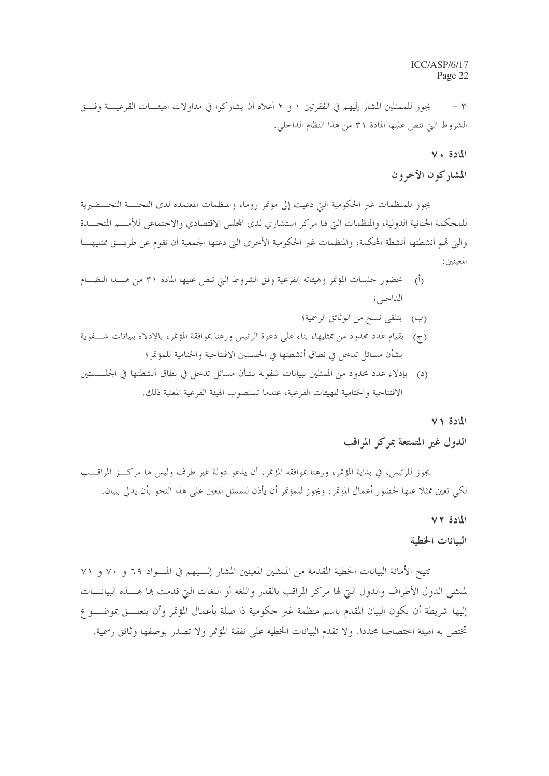يجوز للممثلين المشار إليهم في الفقرتين ١ و ٢ أعلاه أن يشاركوا في مداولات الهيئــــات الفرعيــــة وفـــق  $\mathsf{r}$ الشروط التي تنص عليها المادة ٣١ من هذا النظام الداخلي.

#### المادة ٧٠

### المشاركون الآخرون

يجوز للمنظمات غير الحكومية التي دعيت إلى مؤتمر روما، والمنظمات المعتمدة لدى اللجنــــة التحـــضيرية للمحكمة الجنائية الدولية، والمنظمات التي لها مركز استشاري لدى المحلس الاقتصادي والاحتماعي للأمـــم المتحـــدة والتي قمم أنشطتها أنشطة المحكمة، والمنظمات غير الحكومية الأخرى التي دعتها الجمعية أن تقوم عن طريـــق ممثليهـــا المعينين:

- بحضور حلسات المؤتمر وهيئاته الفرعية وفق الشروط التي تنص عليها المادة ٣١ من هـــذا النظـــام  $\langle$ الداخلي؛
	- (ب) بتلقى نسخ من الوثائق الرسمية؛
- (ج) بقيام عدد محدود من ممثليها، بناء على دعوة الرئيس ورهنا بموافقة المؤتمر، بالإدلاء ببيانات شــفوية بشأن مسائل تدحل في نطاق أنشطتها في الجلستين الافتتاحية والختامية للمؤتمر؛
- (د) بإدلاء عدد محدود من الممثلين ببيانات شفوية بشأن مسائل تدحل في نطاق أنشطتها في الجلــــستين الافتتاحية والختامية للهيئات الفرعية، عندما تستصوب الهيئة الفرعية المعنية ذلك.

#### المادة ٧١

### الدول غير المتمتعة بمركز المراقب

يجوز للرئيس، في بداية المؤتمر، ورهنا بموافقة المؤتمر، أن يدعو دولة غير طرف وليس لها مركـــز المراقـــب لكي تعين ممثلا عنها لحضور أعمال المؤتمر، ويجوز للمؤتمر أن يأذن للممثل المعين على هذا النحو بأن يدلي ببيان.

#### المادة ٧٢

### السانات الخطبة

تتيح الأمانة البيانات الخطية المقدمة من الممثلين المعينين المشار إلـيهم في المـواد ٦٩ و ٧٠ و ٧١ لممثلي الدول الأطراف والدول التي لها مركز المراقب بالقدر واللغة أو اللغات التي قدمت ها هــــذه البيانــــات إليها شريطة أن يكون البيان المقدم باسم منظمة غير حكومية ذا صلة بأعمال المؤتمر وأن يتعلـــق بموضــــو ع تختص به الهيئة اختصاصا محددا. ولا تقدم البيانات الخطية على نفقة المؤتمر ولا تصدر بوصفها وثائق رسمية.